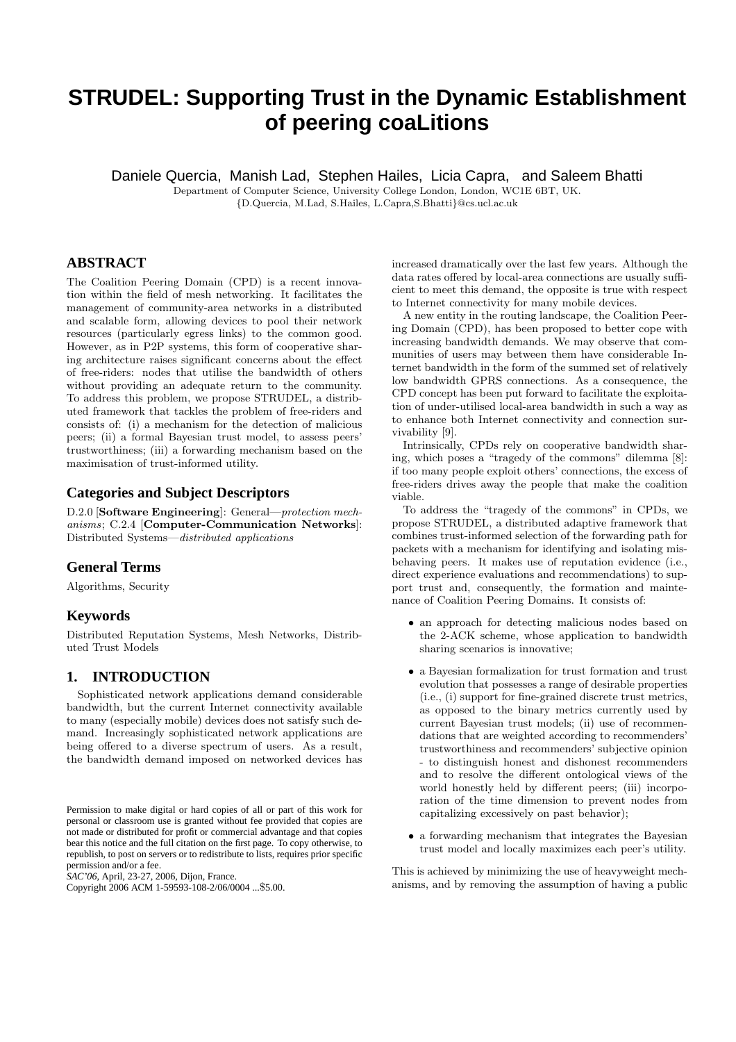# **STRUDEL: Supporting Trust in the Dynamic Establishment of peering coaLitions**

Daniele Quercia, Manish Lad, Stephen Hailes, Licia Capra, and Saleem Bhatti

Department of Computer Science, University College London, London, WC1E 6BT, UK. {D.Quercia, M.Lad, S.Hailes, L.Capra,S.Bhatti}@cs.ucl.ac.uk

**ABSTRACT**

The Coalition Peering Domain (CPD) is a recent innovation within the field of mesh networking. It facilitates the management of community-area networks in a distributed and scalable form, allowing devices to pool their network resources (particularly egress links) to the common good. However, as in P2P systems, this form of cooperative sharing architecture raises significant concerns about the effect of free-riders: nodes that utilise the bandwidth of others without providing an adequate return to the community. To address this problem, we propose STRUDEL, a distributed framework that tackles the problem of free-riders and consists of: (i) a mechanism for the detection of malicious peers; (ii) a formal Bayesian trust model, to assess peers' trustworthiness; (iii) a forwarding mechanism based on the maximisation of trust-informed utility.

# **Categories and Subject Descriptors**

D.2.0 [Software Engineering]: General—protection mechanisms; C.2.4 [Computer-Communication Networks]: Distributed Systems—distributed applications

# **General Terms**

Algorithms, Security

# **Keywords**

Distributed Reputation Systems, Mesh Networks, Distributed Trust Models

## **1. INTRODUCTION**

Sophisticated network applications demand considerable bandwidth, but the current Internet connectivity available to many (especially mobile) devices does not satisfy such demand. Increasingly sophisticated network applications are being offered to a diverse spectrum of users. As a result, the bandwidth demand imposed on networked devices has

*SAC'06,* April, 23-27, 2006, Dijon, France.

increased dramatically over the last few years. Although the data rates offered by local-area connections are usually sufficient to meet this demand, the opposite is true with respect to Internet connectivity for many mobile devices.

A new entity in the routing landscape, the Coalition Peering Domain (CPD), has been proposed to better cope with increasing bandwidth demands. We may observe that communities of users may between them have considerable Internet bandwidth in the form of the summed set of relatively low bandwidth GPRS connections. As a consequence, the CPD concept has been put forward to facilitate the exploitation of under-utilised local-area bandwidth in such a way as to enhance both Internet connectivity and connection survivability [9].

Intrinsically, CPDs rely on cooperative bandwidth sharing, which poses a "tragedy of the commons" dilemma [8]: if too many people exploit others' connections, the excess of free-riders drives away the people that make the coalition viable.

To address the "tragedy of the commons" in CPDs, we propose STRUDEL, a distributed adaptive framework that combines trust-informed selection of the forwarding path for packets with a mechanism for identifying and isolating misbehaving peers. It makes use of reputation evidence (i.e., direct experience evaluations and recommendations) to support trust and, consequently, the formation and maintenance of Coalition Peering Domains. It consists of:

- an approach for detecting malicious nodes based on the 2-ACK scheme, whose application to bandwidth sharing scenarios is innovative;
- a Bayesian formalization for trust formation and trust evolution that possesses a range of desirable properties (i.e., (i) support for fine-grained discrete trust metrics, as opposed to the binary metrics currently used by current Bayesian trust models; (ii) use of recommendations that are weighted according to recommenders' trustworthiness and recommenders' subjective opinion - to distinguish honest and dishonest recommenders and to resolve the different ontological views of the world honestly held by different peers; (iii) incorporation of the time dimension to prevent nodes from capitalizing excessively on past behavior);
- a forwarding mechanism that integrates the Bayesian trust model and locally maximizes each peer's utility.

This is achieved by minimizing the use of heavyweight mechanisms, and by removing the assumption of having a public

Permission to make digital or hard copies of all or part of this work for personal or classroom use is granted without fee provided that copies are not made or distributed for profit or commercial advantage and that copies bear this notice and the full citation on the first page. To copy otherwise, to republish, to post on servers or to redistribute to lists, requires prior specific permission and/or a fee.

Copyright 2006 ACM 1-59593-108-2/06/0004 ...\$5.00.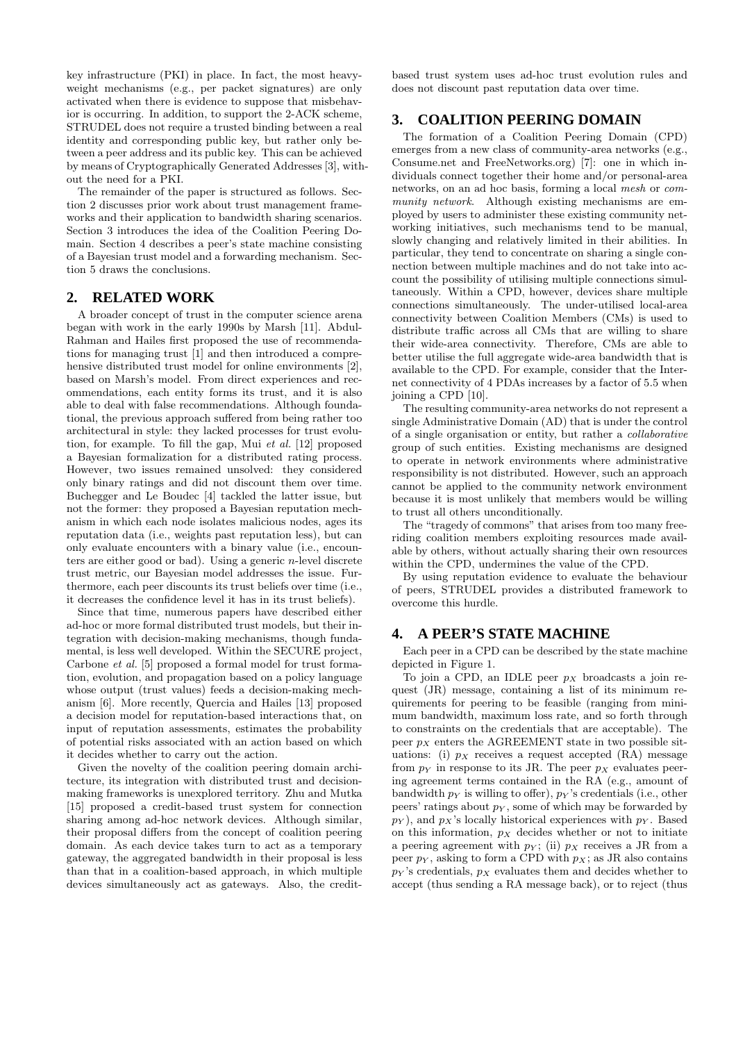key infrastructure (PKI) in place. In fact, the most heavyweight mechanisms (e.g., per packet signatures) are only activated when there is evidence to suppose that misbehavior is occurring. In addition, to support the 2-ACK scheme, STRUDEL does not require a trusted binding between a real identity and corresponding public key, but rather only between a peer address and its public key. This can be achieved by means of Cryptographically Generated Addresses [3], without the need for a PKI.

The remainder of the paper is structured as follows. Section 2 discusses prior work about trust management frameworks and their application to bandwidth sharing scenarios. Section 3 introduces the idea of the Coalition Peering Domain. Section 4 describes a peer's state machine consisting of a Bayesian trust model and a forwarding mechanism. Section 5 draws the conclusions.

#### **2. RELATED WORK**

A broader concept of trust in the computer science arena began with work in the early 1990s by Marsh [11]. Abdul-Rahman and Hailes first proposed the use of recommendations for managing trust [1] and then introduced a comprehensive distributed trust model for online environments [2], based on Marsh's model. From direct experiences and recommendations, each entity forms its trust, and it is also able to deal with false recommendations. Although foundational, the previous approach suffered from being rather too architectural in style: they lacked processes for trust evolution, for example. To fill the gap, Mui et al. [12] proposed a Bayesian formalization for a distributed rating process. However, two issues remained unsolved: they considered only binary ratings and did not discount them over time. Buchegger and Le Boudec [4] tackled the latter issue, but not the former: they proposed a Bayesian reputation mechanism in which each node isolates malicious nodes, ages its reputation data (i.e., weights past reputation less), but can only evaluate encounters with a binary value (i.e., encounters are either good or bad). Using a generic n-level discrete trust metric, our Bayesian model addresses the issue. Furthermore, each peer discounts its trust beliefs over time (i.e., it decreases the confidence level it has in its trust beliefs).

Since that time, numerous papers have described either ad-hoc or more formal distributed trust models, but their integration with decision-making mechanisms, though fundamental, is less well developed. Within the SECURE project, Carbone et al. [5] proposed a formal model for trust formation, evolution, and propagation based on a policy language whose output (trust values) feeds a decision-making mechanism [6]. More recently, Quercia and Hailes [13] proposed a decision model for reputation-based interactions that, on input of reputation assessments, estimates the probability of potential risks associated with an action based on which it decides whether to carry out the action.

Given the novelty of the coalition peering domain architecture, its integration with distributed trust and decisionmaking frameworks is unexplored territory. Zhu and Mutka [15] proposed a credit-based trust system for connection sharing among ad-hoc network devices. Although similar, their proposal differs from the concept of coalition peering domain. As each device takes turn to act as a temporary gateway, the aggregated bandwidth in their proposal is less than that in a coalition-based approach, in which multiple devices simultaneously act as gateways. Also, the credit-

based trust system uses ad-hoc trust evolution rules and does not discount past reputation data over time.

# **3. COALITION PEERING DOMAIN**

The formation of a Coalition Peering Domain (CPD) emerges from a new class of community-area networks (e.g., Consume.net and FreeNetworks.org) [7]: one in which individuals connect together their home and/or personal-area networks, on an ad hoc basis, forming a local mesh or community network. Although existing mechanisms are employed by users to administer these existing community networking initiatives, such mechanisms tend to be manual, slowly changing and relatively limited in their abilities. In particular, they tend to concentrate on sharing a single connection between multiple machines and do not take into account the possibility of utilising multiple connections simultaneously. Within a CPD, however, devices share multiple connections simultaneously. The under-utilised local-area connectivity between Coalition Members (CMs) is used to distribute traffic across all CMs that are willing to share their wide-area connectivity. Therefore, CMs are able to better utilise the full aggregate wide-area bandwidth that is available to the CPD. For example, consider that the Internet connectivity of 4 PDAs increases by a factor of 5.5 when joining a CPD [10].

The resulting community-area networks do not represent a single Administrative Domain (AD) that is under the control of a single organisation or entity, but rather a collaborative group of such entities. Existing mechanisms are designed to operate in network environments where administrative responsibility is not distributed. However, such an approach cannot be applied to the community network environment because it is most unlikely that members would be willing to trust all others unconditionally.

The "tragedy of commons" that arises from too many freeriding coalition members exploiting resources made available by others, without actually sharing their own resources within the CPD, undermines the value of the CPD.

By using reputation evidence to evaluate the behaviour of peers, STRUDEL provides a distributed framework to overcome this hurdle.

#### **4. A PEER'S STATE MACHINE**

Each peer in a CPD can be described by the state machine depicted in Figure 1.

To join a CPD, an IDLE peer  $p<sub>X</sub>$  broadcasts a join request (JR) message, containing a list of its minimum requirements for peering to be feasible (ranging from minimum bandwidth, maximum loss rate, and so forth through to constraints on the credentials that are acceptable). The peer  $p_X$  enters the AGREEMENT state in two possible situations: (i)  $p_X$  receives a request accepted (RA) message from  $p_Y$  in response to its JR. The peer  $p_X$  evaluates peering agreement terms contained in the RA (e.g., amount of bandwidth  $p_Y$  is willing to offer),  $p_Y$ 's credentials (i.e., other peers' ratings about  $p_Y$ , some of which may be forwarded by  $p_Y$ ), and  $p_X$ 's locally historical experiences with  $p_Y$ . Based on this information,  $p_X$  decides whether or not to initiate a peering agreement with  $p_Y$ ; (ii)  $p_X$  receives a JR from a peer  $p_Y$ , asking to form a CPD with  $p_X$ ; as JR also contains  $p_Y$ 's credentials,  $p_X$  evaluates them and decides whether to accept (thus sending a RA message back), or to reject (thus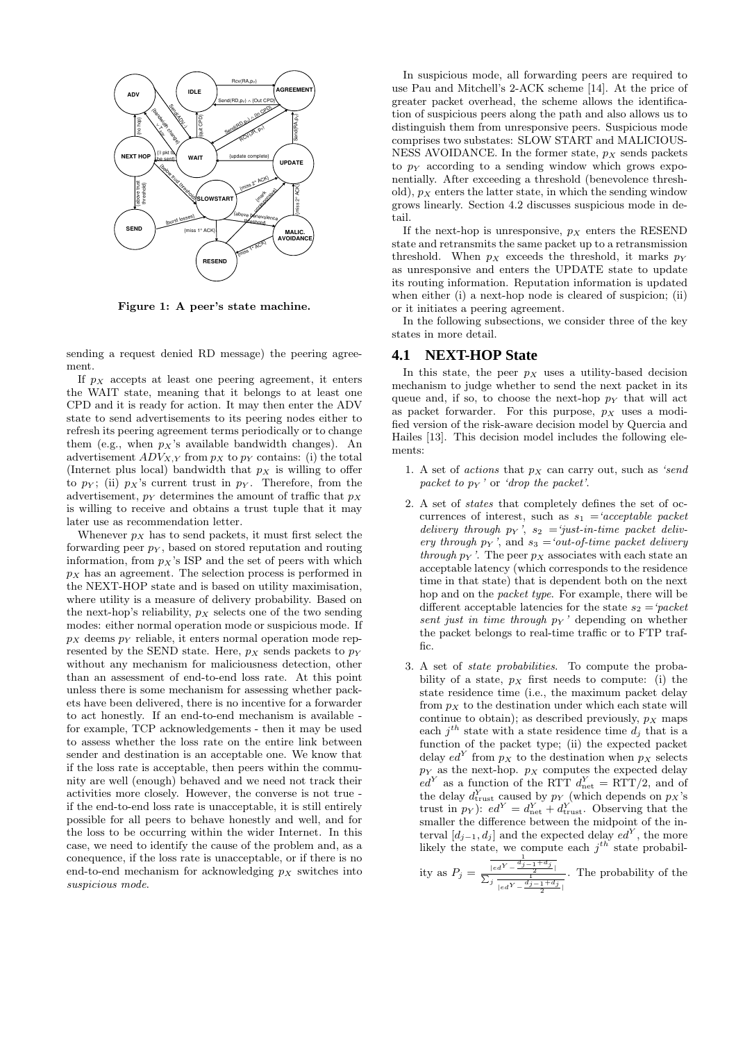

Figure 1: A peer's state machine.

sending a request denied RD message) the peering agreement.

If  $p_X$  accepts at least one peering agreement, it enters the WAIT state, meaning that it belongs to at least one CPD and it is ready for action. It may then enter the ADV state to send advertisements to its peering nodes either to refresh its peering agreement terms periodically or to change them (e.g., when  $p_X$ 's available bandwidth changes). An advertisement  $ADV_{X,Y}$  from  $p_X$  to  $p_Y$  contains: (i) the total (Internet plus local) bandwidth that  $p_X$  is willing to offer to  $p_Y$ ; (ii)  $p_X$ 's current trust in  $p_Y$ . Therefore, from the advertisement,  $p_Y$  determines the amount of traffic that  $p_X$ is willing to receive and obtains a trust tuple that it may later use as recommendation letter.

Whenever  $p_X$  has to send packets, it must first select the forwarding peer  $p<sub>Y</sub>$ , based on stored reputation and routing information, from  $p_X$ 's ISP and the set of peers with which  $p_X$  has an agreement. The selection process is performed in the NEXT-HOP state and is based on utility maximisation, where utility is a measure of delivery probability. Based on the next-hop's reliability,  $p_X$  selects one of the two sending modes: either normal operation mode or suspicious mode. If  $p_X$  deems  $p_Y$  reliable, it enters normal operation mode represented by the SEND state. Here,  $p_X$  sends packets to  $p_Y$ without any mechanism for maliciousness detection, other than an assessment of end-to-end loss rate. At this point unless there is some mechanism for assessing whether packets have been delivered, there is no incentive for a forwarder to act honestly. If an end-to-end mechanism is available for example, TCP acknowledgements - then it may be used to assess whether the loss rate on the entire link between sender and destination is an acceptable one. We know that if the loss rate is acceptable, then peers within the community are well (enough) behaved and we need not track their activities more closely. However, the converse is not true if the end-to-end loss rate is unacceptable, it is still entirely possible for all peers to behave honestly and well, and for the loss to be occurring within the wider Internet. In this case, we need to identify the cause of the problem and, as a conequence, if the loss rate is unacceptable, or if there is no end-to-end mechanism for acknowledging  $p<sub>X</sub>$  switches into suspicious mode.

In suspicious mode, all forwarding peers are required to use Pau and Mitchell's 2-ACK scheme [14]. At the price of greater packet overhead, the scheme allows the identification of suspicious peers along the path and also allows us to distinguish them from unresponsive peers. Suspicious mode comprises two substates: SLOW START and MALICIOUS-NESS AVOIDANCE. In the former state,  $p<sub>X</sub>$  sends packets to  $p<sub>Y</sub>$  according to a sending window which grows exponentially. After exceeding a threshold (benevolence threshold),  $p_X$  enters the latter state, in which the sending window grows linearly. Section 4.2 discusses suspicious mode in detail.

If the next-hop is unresponsive,  $p<sub>X</sub>$  enters the RESEND state and retransmits the same packet up to a retransmission threshold. When  $p_X$  exceeds the threshold, it marks  $p_Y$ as unresponsive and enters the UPDATE state to update its routing information. Reputation information is updated when either (i) a next-hop node is cleared of suspicion; (ii) or it initiates a peering agreement.

In the following subsections, we consider three of the key states in more detail.

#### **4.1 NEXT-HOP State**

In this state, the peer  $p_X$  uses a utility-based decision mechanism to judge whether to send the next packet in its queue and, if so, to choose the next-hop  $p_Y$  that will act as packet forwarder. For this purpose,  $p_X$  uses a modified version of the risk-aware decision model by Quercia and Hailes [13]. This decision model includes the following elements:

- 1. A set of *actions* that  $p_X$  can carry out, such as 'send packet to  $p_Y$  ' or 'drop the packet'.
- 2. A set of states that completely defines the set of occurrences of interest, such as  $s_1 = 'acceptable packet$ delivery through  $p_Y$ ,  $s_2 = 'just-in-time\ packet\ deliver$ ery through  $p_Y$ , and  $s_3 = 'out-of-time$  packet delivery through  $p_Y$ . The peer  $p_X$  associates with each state an acceptable latency (which corresponds to the residence time in that state) that is dependent both on the next hop and on the packet type. For example, there will be different acceptable latencies for the state  $s_2 = 'packet$ sent just in time through  $p_Y$  ' depending on whether the packet belongs to real-time traffic or to FTP traffic.
- 3. A set of state probabilities. To compute the probability of a state,  $p_X$  first needs to compute: (i) the state residence time (i.e., the maximum packet delay from  $p<sub>X</sub>$  to the destination under which each state will continue to obtain); as described previously,  $p<sub>X</sub>$  maps each  $j<sup>th</sup>$  state with a state residence time  $d_j$  that is a function of the packet type; (ii) the expected packet delay  $ed^Y$  from  $p_X$  to the destination when  $p_X$  selects  $p_Y$  as the next-hop.  $p_X$  computes the expected delay  $ed^Y$  as a function of the RTT  $d_{net}^Y = RTT/2$ , and of the delay  $d_{\text{trust}}^Y$  caused by  $p_Y$  (which depends on  $p_X$ 's trust in  $p_Y$ ):  $ed^Y = d_{\text{net}}^Y + d_{\text{trust}}^Y$ . Observing that the smaller the difference between the midpoint of the interval  $[d_{j-1}, d_j]$  and the expected delay  $ed^Y$ , the more likely the state, we compute each  $j^{th}$  state probabil-

ity as 
$$
P_j = \frac{\frac{1}{|ed^Y - \frac{d_{j-1} + d_j}{2}|}}{\sum_j \frac{1}{|ed^Y - \frac{d_j - 1 + d_j}{2}|}}
$$
. The probability of the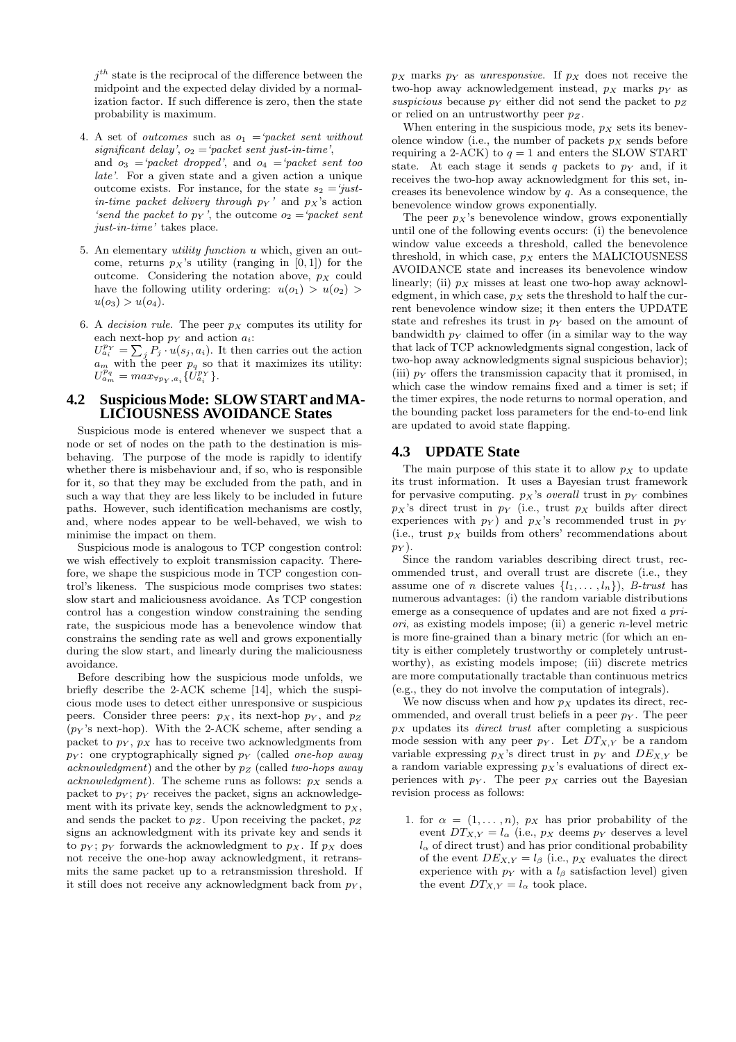$j<sup>th</sup>$  state is the reciprocal of the difference between the midpoint and the expected delay divided by a normalization factor. If such difference is zero, then the state probability is maximum.

- 4. A set of *outcomes* such as  $o_1$  = 'packet sent without significant delay',  $o_2$  = 'packet sent just-in-time', and  $o_3 = 'packet\ dropped'$ , and  $o_4 = 'packet\ sent\ too$ late'. For a given state and a given action a unique outcome exists. For instance, for the state  $s_2 = 'just$ in-time packet delivery through  $p_Y$  and  $p_X$ 's action 'send the packet to  $p_Y$ ', the outcome  $o_2 = 'packet$  sent just-in-time' takes place.
- 5. An elementary utility function u which, given an outcome, returns  $p_X$ 's utility (ranging in [0, 1]) for the outcome. Considering the notation above,  $p_X$  could have the following utility ordering:  $u(o_1) > u(o_2)$  $u(o_3) > u(o_4)$ .
- 6. A decision rule. The peer  $p_X$  computes its utility for each next-hop  $p_Y$  and action  $a_i$ :  $U_{a_i}^{p_Y} = \sum_j \overline{P}_j \cdot u(s_j, a_i)$ . It then carries out the action  $a_m$  with the peer  $p_q$  so that it maximizes its utility:  $U_{a_m}^{p_q} = max_{\forall p_Y, a_i} \{U_{a_i}^{p_Y}\}.$

# **4.2 Suspicious Mode: SLOW START and MA-LICIOUSNESS AVOIDANCE States**

Suspicious mode is entered whenever we suspect that a node or set of nodes on the path to the destination is misbehaving. The purpose of the mode is rapidly to identify whether there is misbehaviour and, if so, who is responsible for it, so that they may be excluded from the path, and in such a way that they are less likely to be included in future paths. However, such identification mechanisms are costly, and, where nodes appear to be well-behaved, we wish to minimise the impact on them.

Suspicious mode is analogous to TCP congestion control: we wish effectively to exploit transmission capacity. Therefore, we shape the suspicious mode in TCP congestion control's likeness. The suspicious mode comprises two states: slow start and maliciousness avoidance. As TCP congestion control has a congestion window constraining the sending rate, the suspicious mode has a benevolence window that constrains the sending rate as well and grows exponentially during the slow start, and linearly during the maliciousness avoidance.

Before describing how the suspicious mode unfolds, we briefly describe the 2-ACK scheme [14], which the suspicious mode uses to detect either unresponsive or suspicious peers. Consider three peers:  $p_X$ , its next-hop  $p_Y$ , and  $p_Z$  $(p_Y)$ 's next-hop). With the 2-ACK scheme, after sending a packet to  $p_Y$ ,  $p_X$  has to receive two acknowledgments from  $p_Y$ : one cryptographically signed  $p_Y$  (called one-hop away acknowledgment) and the other by  $p_z$  (called two-hops away acknowledgment). The scheme runs as follows:  $p<sub>X</sub>$  sends a packet to  $p_Y$ ;  $p_Y$  receives the packet, signs an acknowledgement with its private key, sends the acknowledgment to  $p_X$ , and sends the packet to  $p_Z$ . Upon receiving the packet,  $p_Z$ signs an acknowledgment with its private key and sends it to  $p_Y$ ;  $p_Y$  forwards the acknowledgment to  $p_X$ . If  $p_X$  does not receive the one-hop away acknowledgment, it retransmits the same packet up to a retransmission threshold. If it still does not receive any acknowledgment back from  $p<sub>Y</sub>$ ,

 $p_X$  marks  $p_Y$  as unresponsive. If  $p_X$  does not receive the two-hop away acknowledgement instead,  $p_X$  marks  $p_Y$  as suspicious because  $p_Y$  either did not send the packet to  $p_Z$ or relied on an untrustworthy peer  $p_Z$ .

When entering in the suspicious mode,  $p<sub>X</sub>$  sets its benevolence window (i.e., the number of packets  $p<sub>X</sub>$  sends before requiring a 2-ACK) to  $q = 1$  and enters the SLOW START state. At each stage it sends q packets to  $p<sub>Y</sub>$  and, if it receives the two-hop away acknowledgment for this set, increases its benevolence window by  $q$ . As a consequence, the benevolence window grows exponentially.

The peer  $p_X$ 's benevolence window, grows exponentially until one of the following events occurs: (i) the benevolence window value exceeds a threshold, called the benevolence threshold, in which case,  $p_X$  enters the MALICIOUSNESS AVOIDANCE state and increases its benevolence window linearly; (ii)  $p_X$  misses at least one two-hop away acknowledgment, in which case,  $p_x$  sets the threshold to half the current benevolence window size; it then enters the UPDATE state and refreshes its trust in  $p<sub>Y</sub>$  based on the amount of bandwidth  $p_Y$  claimed to offer (in a similar way to the way that lack of TCP acknowledgments signal congestion, lack of two-hop away acknowledgments signal suspicious behavior); (iii)  $p_Y$  offers the transmission capacity that it promised, in which case the window remains fixed and a timer is set; if the timer expires, the node returns to normal operation, and the bounding packet loss parameters for the end-to-end link are updated to avoid state flapping.

#### **4.3 UPDATE State**

The main purpose of this state it to allow  $p<sub>X</sub>$  to update its trust information. It uses a Bayesian trust framework for pervasive computing.  $p_X$ 's *overall* trust in  $p_Y$  combines  $p_X$ 's direct trust in  $p_Y$  (i.e., trust  $p_X$  builds after direct experiences with  $p_Y$ ) and  $p_X$ 's recommended trust in  $p_Y$ (i.e., trust  $p_X$  builds from others' recommendations about  $p_Y$ ).

Since the random variables describing direct trust, recommended trust, and overall trust are discrete (i.e., they assume one of n discrete values  $\{l_1, \ldots, l_n\}$ , B-trust has numerous advantages: (i) the random variable distributions emerge as a consequence of updates and are not fixed a pri $ori$ , as existing models impose; (ii) a generic *n*-level metric is more fine-grained than a binary metric (for which an entity is either completely trustworthy or completely untrustworthy), as existing models impose; (iii) discrete metrics are more computationally tractable than continuous metrics (e.g., they do not involve the computation of integrals).

We now discuss when and how  $p_X$  updates its direct, recommended, and overall trust beliefs in a peer  $p<sub>Y</sub>$ . The peer  $p_X$  updates its *direct trust* after completing a suspicious mode session with any peer  $p_Y$ . Let  $DT_{X,Y}$  be a random variable expressing  $p_X$ 's direct trust in  $p_Y$  and  $DE_{X,Y}$  be a random variable expressing  $p_X$ 's evaluations of direct experiences with  $p_Y$ . The peer  $p_X$  carries out the Bayesian revision process as follows:

1. for  $\alpha = (1, \ldots, n)$ ,  $p_X$  has prior probability of the event  $DT_{X,Y} = l_{\alpha}$  (i.e.,  $p_X$  deems  $p_Y$  deserves a level  $l_{\alpha}$  of direct trust) and has prior conditional probability of the event  $DE_{X,Y} = l_{\beta}$  (i.e.,  $p_X$  evaluates the direct experience with  $p_Y$  with a  $l_\beta$  satisfaction level) given the event  $DT_{X,Y} = l_{\alpha}$  took place.